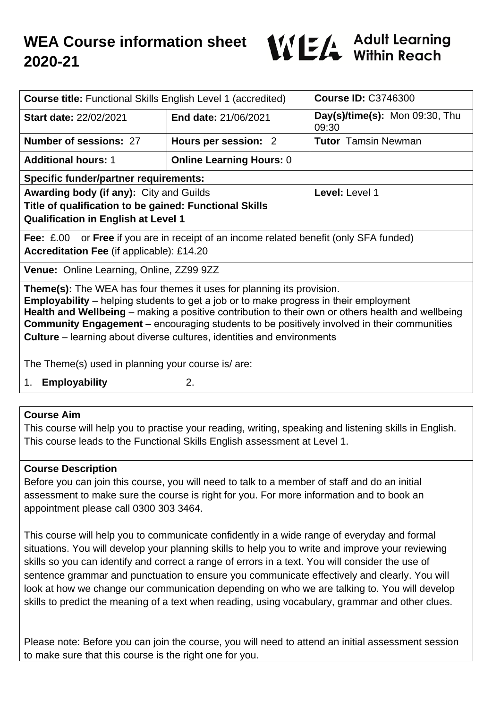

| <b>Course title: Functional Skills English Level 1 (accredited)</b>                                                                                                                                                                                                                                                                                                                                                                                                     |                                 | <b>Course ID: C3746300</b>              |
|-------------------------------------------------------------------------------------------------------------------------------------------------------------------------------------------------------------------------------------------------------------------------------------------------------------------------------------------------------------------------------------------------------------------------------------------------------------------------|---------------------------------|-----------------------------------------|
| <b>Start date: 22/02/2021</b>                                                                                                                                                                                                                                                                                                                                                                                                                                           | End date: 21/06/2021            | Day(s)/time(s): Mon 09:30, Thu<br>09:30 |
| Number of sessions: 27                                                                                                                                                                                                                                                                                                                                                                                                                                                  | Hours per session: 2            | <b>Tutor</b> Tamsin Newman              |
| <b>Additional hours: 1</b>                                                                                                                                                                                                                                                                                                                                                                                                                                              | <b>Online Learning Hours: 0</b> |                                         |
| <b>Specific funder/partner requirements:</b>                                                                                                                                                                                                                                                                                                                                                                                                                            |                                 |                                         |
| <b>Awarding body (if any):</b> City and Guilds                                                                                                                                                                                                                                                                                                                                                                                                                          |                                 | Level: Level 1                          |
| Title of qualification to be gained: Functional Skills<br><b>Qualification in English at Level 1</b>                                                                                                                                                                                                                                                                                                                                                                    |                                 |                                         |
| <b>Fee:</b> £.00 or <b>Free</b> if you are in receipt of an income related benefit (only SFA funded)                                                                                                                                                                                                                                                                                                                                                                    |                                 |                                         |
| <b>Accreditation Fee (if applicable): £14.20</b>                                                                                                                                                                                                                                                                                                                                                                                                                        |                                 |                                         |
| Venue: Online Learning, Online, ZZ99 9ZZ                                                                                                                                                                                                                                                                                                                                                                                                                                |                                 |                                         |
| <b>Theme(s):</b> The WEA has four themes it uses for planning its provision.<br><b>Employability</b> – helping students to get a job or to make progress in their employment<br>Health and Wellbeing – making a positive contribution to their own or others health and wellbeing<br><b>Community Engagement</b> – encouraging students to be positively involved in their communities<br><b>Culture</b> – learning about diverse cultures, identities and environments |                                 |                                         |
| The Theme(s) used in planning your course is/ are:                                                                                                                                                                                                                                                                                                                                                                                                                      |                                 |                                         |
| 2.<br><b>Employability</b><br>1.                                                                                                                                                                                                                                                                                                                                                                                                                                        |                                 |                                         |

### **Course Aim**

This course will help you to practise your reading, writing, speaking and listening skills in English. This course leads to the Functional Skills English assessment at Level 1.

### **Course Description**

Before you can join this course, you will need to talk to a member of staff and do an initial assessment to make sure the course is right for you. For more information and to book an appointment please call 0300 303 3464.

This course will help you to communicate confidently in a wide range of everyday and formal situations. You will develop your planning skills to help you to write and improve your reviewing skills so you can identify and correct a range of errors in a text. You will consider the use of sentence grammar and punctuation to ensure you communicate effectively and clearly. You will look at how we change our communication depending on who we are talking to. You will develop skills to predict the meaning of a text when reading, using vocabulary, grammar and other clues.

Please note: Before you can join the course, you will need to attend an initial assessment session to make sure that this course is the right one for you.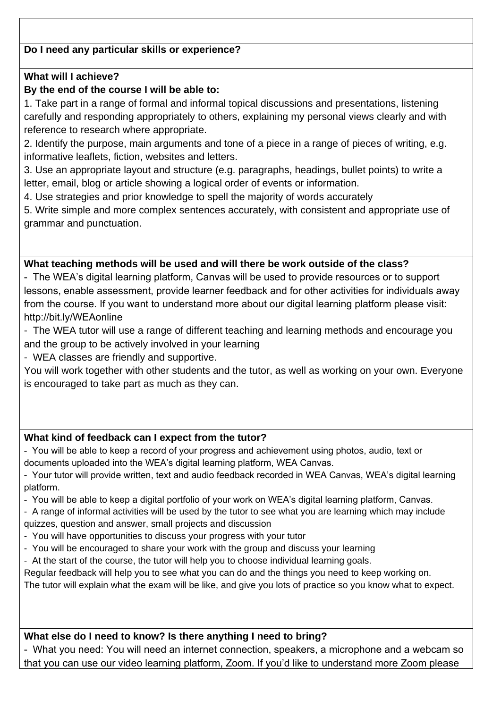# **Do I need any particular skills or experience?**

### **What will I achieve?**

### **By the end of the course I will be able to:**

1. Take part in a range of formal and informal topical discussions and presentations, listening carefully and responding appropriately to others, explaining my personal views clearly and with reference to research where appropriate.

2. Identify the purpose, main arguments and tone of a piece in a range of pieces of writing, e.g. informative leaflets, fiction, websites and letters.

3. Use an appropriate layout and structure (e.g. paragraphs, headings, bullet points) to write a letter, email, blog or article showing a logical order of events or information.

4. Use strategies and prior knowledge to spell the majority of words accurately

5. Write simple and more complex sentences accurately, with consistent and appropriate use of grammar and punctuation.

### **What teaching methods will be used and will there be work outside of the class?**

- The WEA's digital learning platform, Canvas will be used to provide resources or to support lessons, enable assessment, provide learner feedback and for other activities for individuals away from the course. If you want to understand more about our digital learning platform please visit: http://bit.ly/WEAonline

- The WEA tutor will use a range of different teaching and learning methods and encourage you and the group to be actively involved in your learning
- WEA classes are friendly and supportive.

You will work together with other students and the tutor, as well as working on your own. Everyone is encouraged to take part as much as they can.

### **What kind of feedback can I expect from the tutor?**

- You will be able to keep a record of your progress and achievement using photos, audio, text or documents uploaded into the WEA's digital learning platform, WEA Canvas.

- Your tutor will provide written, text and audio feedback recorded in WEA Canvas, WEA's digital learning platform.

- You will be able to keep a digital portfolio of your work on WEA's digital learning platform, Canvas.

- A range of informal activities will be used by the tutor to see what you are learning which may include quizzes, question and answer, small projects and discussion

- You will have opportunities to discuss your progress with your tutor
- You will be encouraged to share your work with the group and discuss your learning
- At the start of the course, the tutor will help you to choose individual learning goals.

Regular feedback will help you to see what you can do and the things you need to keep working on. The tutor will explain what the exam will be like, and give you lots of practice so you know what to expect.

### **What else do I need to know? Is there anything I need to bring?**

- What you need: You will need an internet connection, speakers, a microphone and a webcam so that you can use our video learning platform, Zoom. If you'd like to understand more Zoom please